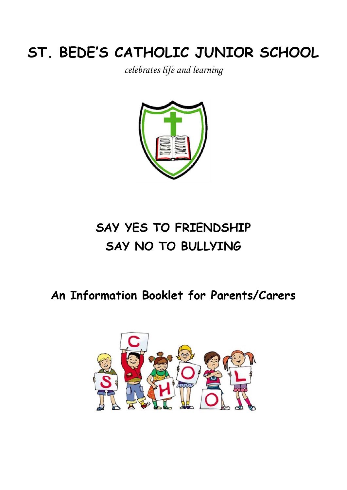# **ST. BEDE'S CATHOLIC JUNIOR SCHOOL**

*celebrates life and learning*



# **SAY YES TO FRIENDSHIP SAY NO TO BULLYING**

# **An Information Booklet for Parents/Carers**

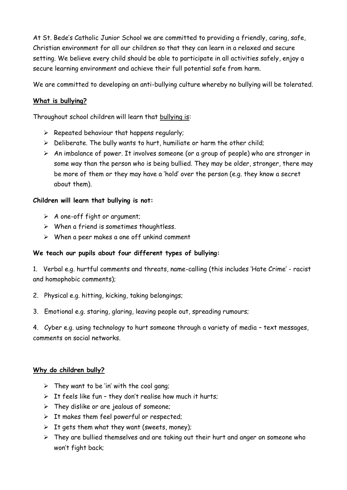At St. Bede's Catholic Junior School we are committed to providing a friendly, caring, safe, Christian environment for all our children so that they can learn in a relaxed and secure setting. We believe every child should be able to participate in all activities safely, enjoy a secure learning environment and achieve their full potential safe from harm.

We are committed to developing an anti-bullying culture whereby no bullying will be tolerated.

### **What is bullying?**

Throughout school children will learn that bullying is:

- $\triangleright$  Repeated behaviour that happens regularly;
- $\triangleright$  Deliberate. The bully wants to hurt, humiliate or harm the other child;
- $\triangleright$  An imbalance of power. It involves someone (or a group of people) who are stronger in some way than the person who is being bullied. They may be older, stronger, there may be more of them or they may have a 'hold' over the person (e.g. they know a secret about them).

#### **Children will learn that bullying is not:**

- $\triangleright$  A one-off fight or argument;
- $\triangleright$  When a friend is sometimes thoughtless.
- $\triangleright$  When a peer makes a one off unkind comment

#### **We teach our pupils about four different types of bullying:**

1. Verbal e.g. hurtful comments and threats, name-calling (this includes 'Hate Crime' - racist and homophobic comments);

- 2. Physical e.g. hitting, kicking, taking belongings;
- 3. Emotional e.g. staring, glaring, leaving people out, spreading rumours;

4. Cyber e.g. using technology to hurt someone through a variety of media – text messages, comments on social networks.

#### **Why do children bully?**

- $\triangleright$  They want to be 'in' with the cool gang;
- $\triangleright$  It feels like fun they don't realise how much it hurts;
- $\triangleright$  They dislike or are jealous of someone;
- $\triangleright$  It makes them feel powerful or respected;
- $\triangleright$  It gets them what they want (sweets, money);
- $\triangleright$  They are bullied themselves and are taking out their hurt and anger on someone who won't fight back;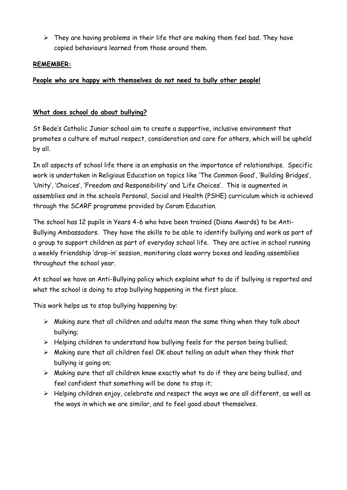$\triangleright$  They are having problems in their life that are making them feel bad. They have copied behaviours learned from those around them.

#### **REMEMBER:**

#### **People who are happy with themselves do not need to bully other people!**

#### **What does school do about bullying?**

St Bede's Catholic Junior school aim to create a supportive, inclusive environment that promotes a culture of mutual respect, consideration and care for others, which will be upheld by all.

In all aspects of school life there is an emphasis on the importance of relationships. Specific work is undertaken in Religious Education on topics like 'The Common Good', 'Building Bridges', 'Unity', 'Choices', 'Freedom and Responsibility' and 'Life Choices'. This is augmented in assemblies and in the schools Personal, Social and Health (PSHE) curriculum which is achieved through the SCARF programme provided by Coram Education.

The school has 12 pupils in Years 4-6 who have been trained (Diana Awards) to be Anti-Bullying Ambassadors. They have the skills to be able to identify bullying and work as part of a group to support children as part of everyday school life. They are active in school running a weekly friendship 'drop-in' session, monitoring class worry boxes and leading assemblies throughout the school year.

At school we have an Anti-Bullying policy which explains what to do if bullying is reported and what the school is doing to stop bullying happening in the first place.

This work helps us to stop bullying happening by:

- $\triangleright$  Making sure that all children and adults mean the same thing when they talk about bullying;
- $\triangleright$  Helping children to understand how bullying feels for the person being bullied;
- $\triangleright$  Making sure that all children feel OK about telling an adult when they think that bullying is going on;
- $\triangleright$  Making sure that all children know exactly what to do if they are being bullied, and feel confident that something will be done to stop it;
- $\triangleright$  Helping children enjoy, celebrate and respect the ways we are all different, as well as the ways in which we are similar, and to feel good about themselves.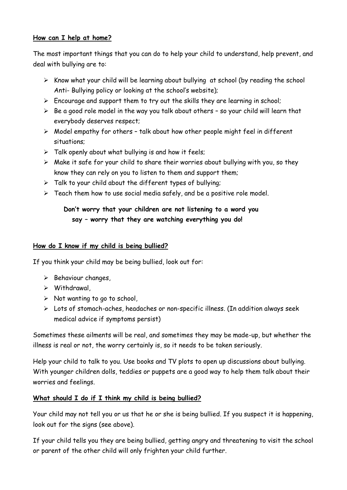#### **How can I help at home?**

The most important things that you can do to help your child to understand, help prevent, and deal with bullying are to:

- $\triangleright$  Know what your child will be learning about bullying at school (by reading the school Anti- Bullying policy or looking at the school's website);
- $\triangleright$  Encourage and support them to try out the skills they are learning in school;
- $\triangleright$  Be a good role model in the way you talk about others so your child will learn that everybody deserves respect;
- $\triangleright$  Model empathy for others talk about how other people might feel in different situations;
- $\triangleright$  Talk openly about what bullying is and how it feels;
- $\triangleright$  Make it safe for your child to share their worries about bullying with you, so they know they can rely on you to listen to them and support them;
- $\triangleright$  Talk to your child about the different types of bullying;
- $\triangleright$  Teach them how to use social media safely, and be a positive role model.

# **Don't worry that your children are not listening to a word you say – worry that they are watching everything you do!**

#### **How do I know if my child is being bullied?**

If you think your child may be being bullied, look out for:

- $\triangleright$  Behaviour changes,
- $\triangleright$  Withdrawal,
- $\triangleright$  Not wanting to go to school,
- Lots of stomach-aches, headaches or non-specific illness. (In addition always seek medical advice if symptoms persist)

Sometimes these ailments will be real, and sometimes they may be made-up, but whether the illness is real or not, the worry certainly is, so it needs to be taken seriously.

Help your child to talk to you. Use books and TV plots to open up discussions about bullying. With younger children dolls, teddies or puppets are a good way to help them talk about their worries and feelings.

#### **What should I do if I think my child is being bullied?**

Your child may not tell you or us that he or she is being bullied. If you suspect it is happening, look out for the signs (see above).

If your child tells you they are being bullied, getting angry and threatening to visit the school or parent of the other child will only frighten your child further.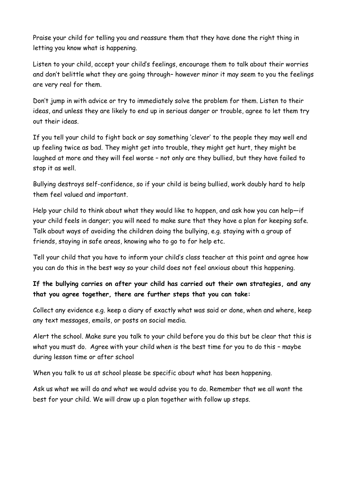Praise your child for telling you and reassure them that they have done the right thing in letting you know what is happening.

Listen to your child, accept your child's feelings, encourage them to talk about their worries and don't belittle what they are going through– however minor it may seem to you the feelings are very real for them.

Don't jump in with advice or try to immediately solve the problem for them. Listen to their ideas, and unless they are likely to end up in serious danger or trouble, agree to let them try out their ideas.

If you tell your child to fight back or say something 'clever' to the people they may well end up feeling twice as bad. They might get into trouble, they might get hurt, they might be laughed at more and they will feel worse – not only are they bullied, but they have failed to stop it as well.

Bullying destroys self-confidence, so if your child is being bullied, work doubly hard to help them feel valued and important.

Help your child to think about what they would like to happen, and ask how you can help—if your child feels in danger; you will need to make sure that they have a plan for keeping safe. Talk about ways of avoiding the children doing the bullying, e.g. staying with a group of friends, staying in safe areas, knowing who to go to for help etc.

Tell your child that you have to inform your child's class teacher at this point and agree how you can do this in the best way so your child does not feel anxious about this happening.

## **If the bullying carries on after your child has carried out their own strategies, and any that you agree together, there are further steps that you can take:**

Collect any evidence e.g. keep a diary of exactly what was said or done, when and where, keep any text messages, emails, or posts on social media.

Alert the school. Make sure you talk to your child before you do this but be clear that this is what you must do. Agree with your child when is the best time for you to do this – maybe during lesson time or after school

When you talk to us at school please be specific about what has been happening.

Ask us what we will do and what we would advise you to do. Remember that we all want the best for your child. We will draw up a plan together with follow up steps.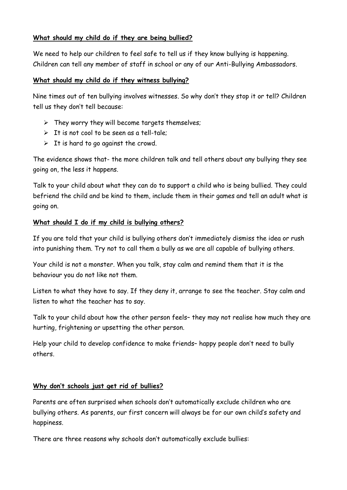#### **What should my child do if they are being bullied?**

We need to help our children to feel safe to tell us if they know bullying is happening. Children can tell any member of staff in school or any of our Anti-Bullying Ambassadors.

#### **What should my child do if they witness bullying?**

Nine times out of ten bullying involves witnesses. So why don't they stop it or tell? Children tell us they don't tell because:

- $\triangleright$  They worry they will become targets themselves;
- $\triangleright$  It is not cool to be seen as a tell-tale;
- $\triangleright$  It is hard to go against the crowd.

The evidence shows that- the more children talk and tell others about any bullying they see going on, the less it happens.

Talk to your child about what they can do to support a child who is being bullied. They could befriend the child and be kind to them, include them in their games and tell an adult what is going on.

#### **What should I do if my child is bullying others?**

If you are told that your child is bullying others don't immediately dismiss the idea or rush into punishing them. Try not to call them a bully as we are all capable of bullying others.

Your child is not a monster. When you talk, stay calm and remind them that it is the behaviour you do not like not them.

Listen to what they have to say. If they deny it, arrange to see the teacher. Stay calm and listen to what the teacher has to say.

Talk to your child about how the other person feels– they may not realise how much they are hurting, frightening or upsetting the other person.

Help your child to develop confidence to make friends– happy people don't need to bully others.

### **Why don't schools just get rid of bullies?**

Parents are often surprised when schools don't automatically exclude children who are bullying others. As parents, our first concern will always be for our own child's safety and happiness.

There are three reasons why schools don't automatically exclude bullies: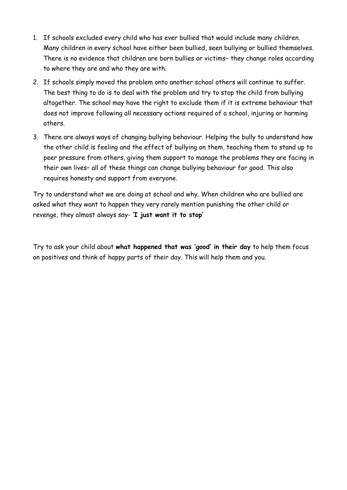- 1. If schools excluded every child who has ever bullied that would include many children. Many children in every school have either been bullied, seen bullying or bullied themselves. There is no evidence that children are born bullies or victims– they change roles according to where they are and who they are with.
- 2. If schools simply moved the problem onto another school others will continue to suffer. The best thing to do is to deal with the problem and try to stop the child from bullying altogether. The school may have the right to exclude them if it is extreme behaviour that does not improve following all necessary actions required of a school, injuring or harming others.
- 3. There are always ways of changing bullying behaviour. Helping the bully to understand how the other child is feeling and the effect of bullying on them, teaching them to stand up to peer pressure from others, giving them support to manage the problems they are facing in their own lives– all of these things can change bullying behaviour for good. This also requires honesty and support from everyone.

Try to understand what we are doing at school and why. When children who are bullied are asked what they want to happen they very rarely mention punishing the other child or revenge, they almost always say- **'I just want it to stop'**

Try to ask your child about **what happened that was 'good' in their day** to help them focus on positives and think of happy parts of their day. This will help them and you.